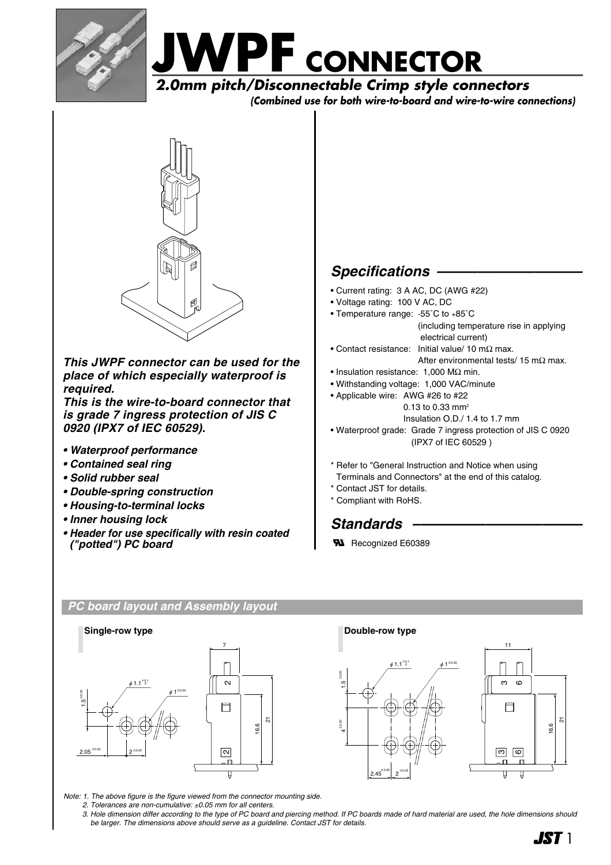



 **(Combined use for both wire-to-board and wire-to-wire connections)**



*This JWPF connector can be used for the place of which especially waterproof is required.* 

*This is the wire-to-board connector that is grade 7 ingress protection of JIS C 0920 (IPX7 of IEC 60529).*

- *Waterproof performance*
- *Contained seal ring*
- *Solid rubber seal*
- *Double-spring construction*
- *Housing-to-terminal locks*
- *Inner housing lock*
- *Header for use specifically with resin coated ("potted") PC board*

## *Specifications ––––––––––––––––––*

- Current rating: 3 A AC, DC (AWG #22)
- Voltage rating: 100 V AC, DC
- Temperature range: -55˚C to +85˚C (including temperature rise in applying electrical current)
- Contact resistance: Initial value/ 10 mΩ max. After environmental tests/ 15 m $\Omega$  max.
- Insulation resistance: 1,000 MΩ min.
- Withstanding voltage: 1,000 VAC/minute
- Applicable wire: AWG #26 to #22 0.13 to 0.33 mm2 Insulation O.D./ 1.4 to 1.7 mm • Waterproof grade: Grade 7 ingress protection of JIS C 0920 (IPX7 of IEC 60529 )
- \* Refer to "General Instruction and Notice when using Terminals and Connectors" at the end of this catalog.
- \* Contact JST for details.
- \* Compliant with RoHS.

### *Standards –––––––––––––––––––––*

**RI** Recognized E60389

2  $2.45$ <sup> $\pm 0.05$ </sup> $2$  $\pm 0.05$ 

 $\phi$  1.1<sup>+0.1</sup>  $\phi$  1<sup> $\pm$ 0.05</sup>

### *PC board layout and Assembly layout*



*Note: 1. The above figure is the figure viewed from the connector mounting side.*

- *2. Tolerances are non-cumulative:* ±*0.05 mm for all centers.*
- *3. Hole dimension differ according to the type of PC board and piercing method. If PC boards made of hard material are used, the hole dimensions should be larger. The dimensions above should serve as a guideline. Contact JST for details.*

±0.05 <u>بہ</u>

±0.05 4



5

16.6

ကု ထ

 $\overline{\mathbf{u}}$  $\overline{\mathbf{u}}$ 

ო  $\epsilon$ 

 $\Box$ 

11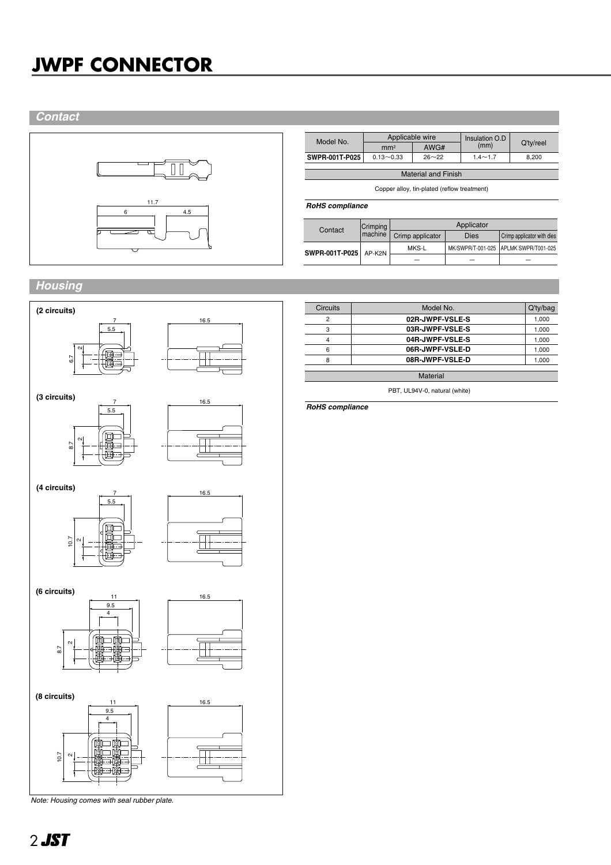## **JWPF CONNECTOR**

### *Contact*



| Model No.                  | Applicable wire |           | Insulation O.D |           |  |  |
|----------------------------|-----------------|-----------|----------------|-----------|--|--|
|                            | mm <sup>2</sup> | AWG#      | (mm)           | Q'ty/reel |  |  |
| SWPR-001T-P025             | $0.13 - 0.33$   | $26 - 22$ | $1.4 - 1.7$    | 8.200     |  |  |
|                            |                 |           |                |           |  |  |
| <b>Material and Finish</b> |                 |           |                |           |  |  |
|                            |                 |           |                |           |  |  |

Copper alloy, tin-plated (reflow treatment)

### *RoHS compliance*

| Contact               | Crimping<br>machine | Applicator       |             |                                       |  |
|-----------------------|---------------------|------------------|-------------|---------------------------------------|--|
|                       |                     | Crimp applicator | <b>Dies</b> | Crimp applicator with dies            |  |
| SWPR-001T-P025 AP-K2N |                     | MKS-L            |             | MK/SWPR/T-001-025 APLMK SWPR/T001-025 |  |
|                       |                     |                  |             |                                       |  |

### *Housing*



*Note: Housing comes with seal rubber plate.*

| Circuits | Model No.       | Q'ty/bag |
|----------|-----------------|----------|
| ◠        | 02R-JWPF-VSLE-S | 1,000    |
| з        | 03R-JWPF-VSLE-S | 1,000    |
|          | 04R-JWPF-VSLE-S | 1,000    |
| 6        | 06R-JWPF-VSLE-D | 1,000    |
| 8        | 08R-JWPF-VSLE-D | 1.000    |

PBT, UL94V-0, natural (white) Material

*RoHS compliance*